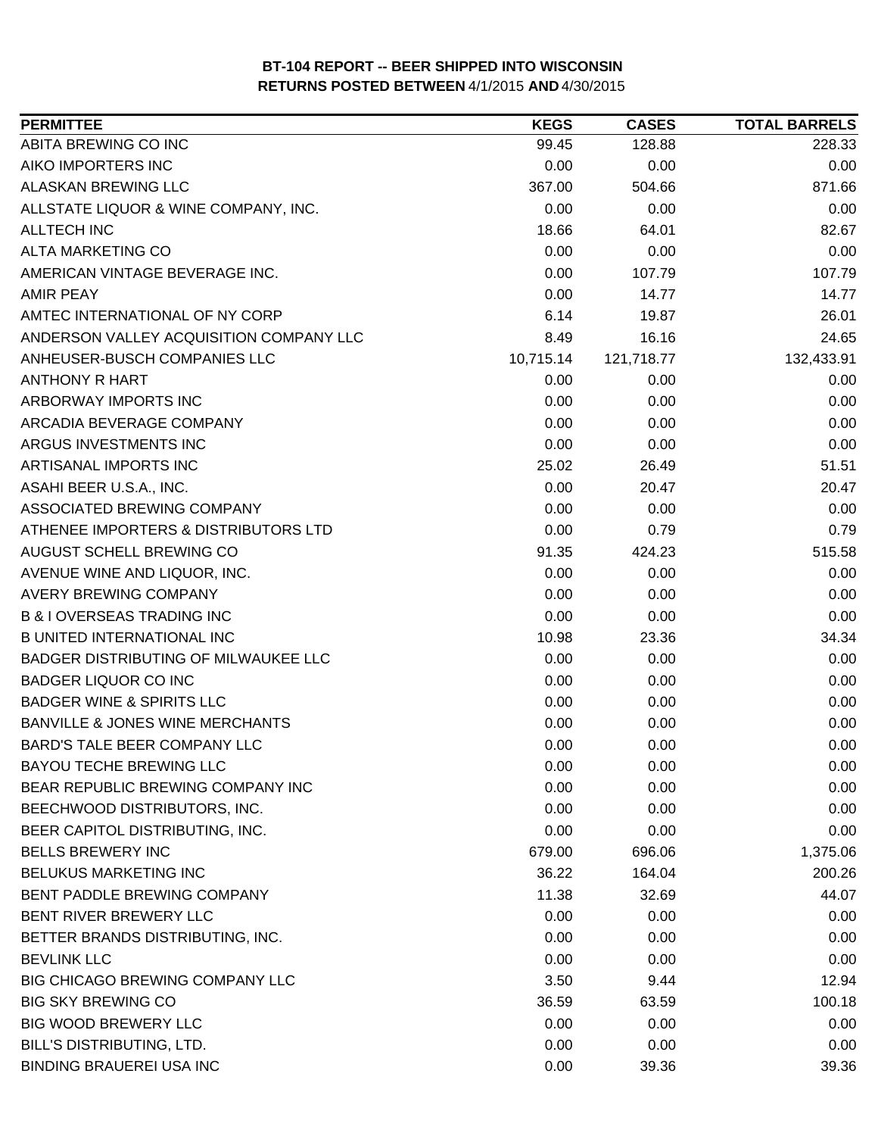| <b>PERMITTEE</b>                           | <b>KEGS</b> | <b>CASES</b> | <b>TOTAL BARRELS</b> |
|--------------------------------------------|-------------|--------------|----------------------|
| ABITA BREWING CO INC                       | 99.45       | 128.88       | 228.33               |
| AIKO IMPORTERS INC                         | 0.00        | 0.00         | 0.00                 |
| ALASKAN BREWING LLC                        | 367.00      | 504.66       | 871.66               |
| ALLSTATE LIQUOR & WINE COMPANY, INC.       | 0.00        | 0.00         | 0.00                 |
| ALLTECH INC                                | 18.66       | 64.01        | 82.67                |
| ALTA MARKETING CO                          | 0.00        | 0.00         | 0.00                 |
| AMERICAN VINTAGE BEVERAGE INC.             | 0.00        | 107.79       | 107.79               |
| <b>AMIR PEAY</b>                           | 0.00        | 14.77        | 14.77                |
| AMTEC INTERNATIONAL OF NY CORP             | 6.14        | 19.87        | 26.01                |
| ANDERSON VALLEY ACQUISITION COMPANY LLC    | 8.49        | 16.16        | 24.65                |
| ANHEUSER-BUSCH COMPANIES LLC               | 10,715.14   | 121,718.77   | 132,433.91           |
| ANTHONY R HART                             | 0.00        | 0.00         | 0.00                 |
| ARBORWAY IMPORTS INC                       | 0.00        | 0.00         | 0.00                 |
| ARCADIA BEVERAGE COMPANY                   | 0.00        | 0.00         | 0.00                 |
| ARGUS INVESTMENTS INC                      | 0.00        | 0.00         | 0.00                 |
| ARTISANAL IMPORTS INC                      | 25.02       | 26.49        | 51.51                |
| ASAHI BEER U.S.A., INC.                    | 0.00        | 20.47        | 20.47                |
| ASSOCIATED BREWING COMPANY                 | 0.00        | 0.00         | 0.00                 |
| ATHENEE IMPORTERS & DISTRIBUTORS LTD       | 0.00        | 0.79         | 0.79                 |
| AUGUST SCHELL BREWING CO                   | 91.35       | 424.23       | 515.58               |
| AVENUE WINE AND LIQUOR, INC.               | 0.00        | 0.00         | 0.00                 |
| <b>AVERY BREWING COMPANY</b>               | 0.00        | 0.00         | 0.00                 |
| <b>B &amp; I OVERSEAS TRADING INC</b>      | 0.00        | 0.00         | 0.00                 |
| <b>B UNITED INTERNATIONAL INC</b>          | 10.98       | 23.36        | 34.34                |
| BADGER DISTRIBUTING OF MILWAUKEE LLC       | 0.00        | 0.00         | 0.00                 |
| <b>BADGER LIQUOR CO INC</b>                | 0.00        | 0.00         | 0.00                 |
| <b>BADGER WINE &amp; SPIRITS LLC</b>       | 0.00        | 0.00         | 0.00                 |
| <b>BANVILLE &amp; JONES WINE MERCHANTS</b> | 0.00        | 0.00         | 0.00                 |
| <b>BARD'S TALE BEER COMPANY LLC</b>        | 0.00        | 0.00         | 0.00                 |
| <b>BAYOU TECHE BREWING LLC</b>             | 0.00        | 0.00         | 0.00                 |
| BEAR REPUBLIC BREWING COMPANY INC          | 0.00        | 0.00         | 0.00                 |
| BEECHWOOD DISTRIBUTORS, INC.               | 0.00        | 0.00         | 0.00                 |
| BEER CAPITOL DISTRIBUTING, INC.            | 0.00        | 0.00         | 0.00                 |
| <b>BELLS BREWERY INC</b>                   | 679.00      | 696.06       | 1,375.06             |
| <b>BELUKUS MARKETING INC</b>               | 36.22       | 164.04       | 200.26               |
| BENT PADDLE BREWING COMPANY                | 11.38       | 32.69        | 44.07                |
| BENT RIVER BREWERY LLC                     | 0.00        | 0.00         | 0.00                 |
| BETTER BRANDS DISTRIBUTING, INC.           | 0.00        | 0.00         | 0.00                 |
| <b>BEVLINK LLC</b>                         | 0.00        | 0.00         | 0.00                 |
| BIG CHICAGO BREWING COMPANY LLC            | 3.50        | 9.44         | 12.94                |
| <b>BIG SKY BREWING CO</b>                  | 36.59       | 63.59        | 100.18               |
| <b>BIG WOOD BREWERY LLC</b>                | 0.00        | 0.00         | 0.00                 |
| <b>BILL'S DISTRIBUTING, LTD.</b>           | 0.00        | 0.00         | 0.00                 |
| <b>BINDING BRAUEREI USA INC</b>            | 0.00        | 39.36        | 39.36                |
|                                            |             |              |                      |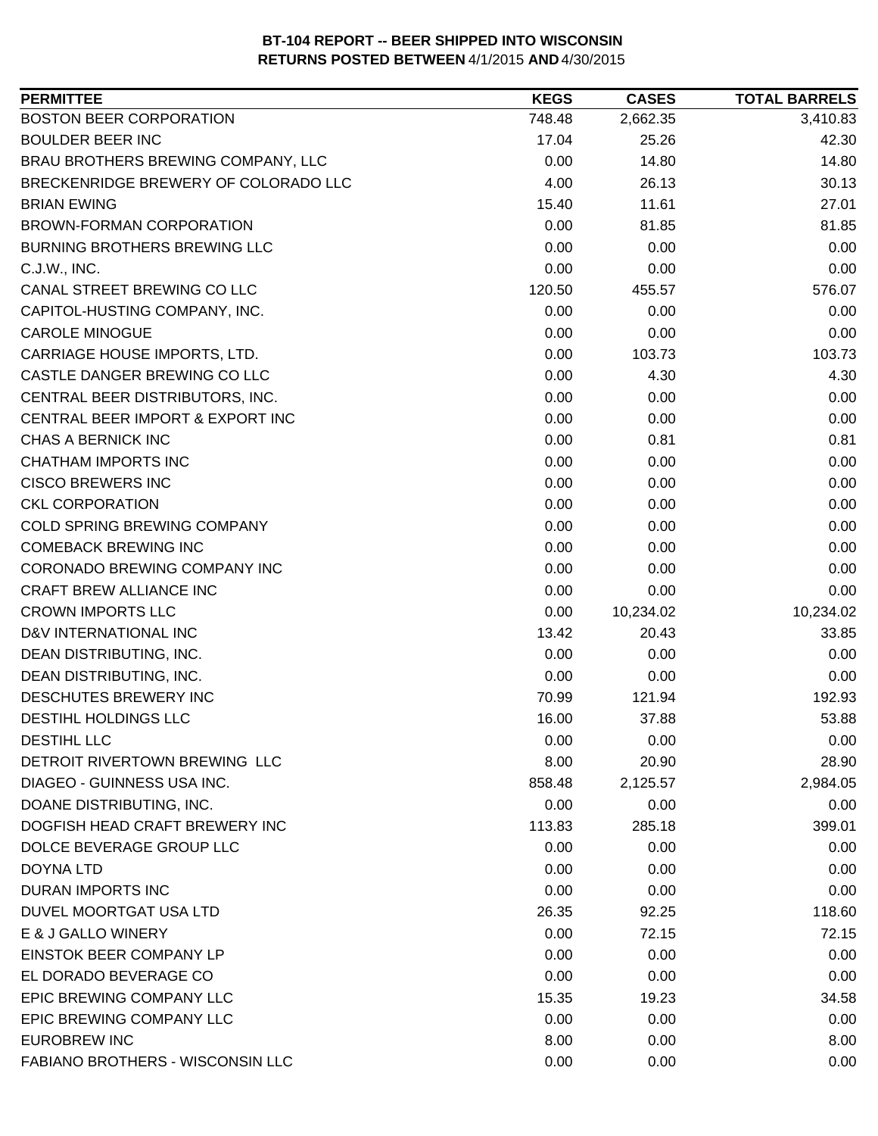| <b>PERMITTEE</b>                        | <b>KEGS</b> | <b>CASES</b> | <b>TOTAL BARRELS</b> |
|-----------------------------------------|-------------|--------------|----------------------|
| <b>BOSTON BEER CORPORATION</b>          | 748.48      | 2,662.35     | 3,410.83             |
| <b>BOULDER BEER INC</b>                 | 17.04       | 25.26        | 42.30                |
| BRAU BROTHERS BREWING COMPANY, LLC      | 0.00        | 14.80        | 14.80                |
| BRECKENRIDGE BREWERY OF COLORADO LLC    | 4.00        | 26.13        | 30.13                |
| <b>BRIAN EWING</b>                      | 15.40       | 11.61        | 27.01                |
| BROWN-FORMAN CORPORATION                | 0.00        | 81.85        | 81.85                |
| <b>BURNING BROTHERS BREWING LLC</b>     | 0.00        | 0.00         | 0.00                 |
| C.J.W., INC.                            | 0.00        | 0.00         | 0.00                 |
| CANAL STREET BREWING CO LLC             | 120.50      | 455.57       | 576.07               |
| CAPITOL-HUSTING COMPANY, INC.           | 0.00        | 0.00         | 0.00                 |
| <b>CAROLE MINOGUE</b>                   | 0.00        | 0.00         | 0.00                 |
| CARRIAGE HOUSE IMPORTS, LTD.            | 0.00        | 103.73       | 103.73               |
| CASTLE DANGER BREWING CO LLC            | 0.00        | 4.30         | 4.30                 |
| CENTRAL BEER DISTRIBUTORS, INC.         | 0.00        | 0.00         | 0.00                 |
| CENTRAL BEER IMPORT & EXPORT INC        | 0.00        | 0.00         | 0.00                 |
| <b>CHAS A BERNICK INC</b>               | 0.00        | 0.81         | 0.81                 |
| <b>CHATHAM IMPORTS INC</b>              | 0.00        | 0.00         | 0.00                 |
| <b>CISCO BREWERS INC</b>                | 0.00        | 0.00         | 0.00                 |
| <b>CKL CORPORATION</b>                  | 0.00        | 0.00         | 0.00                 |
| <b>COLD SPRING BREWING COMPANY</b>      | 0.00        | 0.00         | 0.00                 |
| <b>COMEBACK BREWING INC</b>             | 0.00        | 0.00         | 0.00                 |
| CORONADO BREWING COMPANY INC            | 0.00        | 0.00         | 0.00                 |
| CRAFT BREW ALLIANCE INC                 | 0.00        | 0.00         | 0.00                 |
| <b>CROWN IMPORTS LLC</b>                | 0.00        | 10,234.02    | 10,234.02            |
| D&V INTERNATIONAL INC                   | 13.42       | 20.43        | 33.85                |
| DEAN DISTRIBUTING, INC.                 | 0.00        | 0.00         | 0.00                 |
| DEAN DISTRIBUTING, INC.                 | 0.00        | 0.00         | 0.00                 |
| DESCHUTES BREWERY INC                   | 70.99       | 121.94       | 192.93               |
| DESTIHL HOLDINGS LLC                    | 16.00       | 37.88        | 53.88                |
| <b>DESTIHL LLC</b>                      | 0.00        | 0.00         | 0.00                 |
| DETROIT RIVERTOWN BREWING LLC           | 8.00        | 20.90        | 28.90                |
| DIAGEO - GUINNESS USA INC.              | 858.48      | 2,125.57     | 2,984.05             |
| DOANE DISTRIBUTING, INC.                | 0.00        | 0.00         | 0.00                 |
| DOGFISH HEAD CRAFT BREWERY INC          | 113.83      | 285.18       | 399.01               |
| DOLCE BEVERAGE GROUP LLC                | 0.00        | 0.00         | 0.00                 |
| <b>DOYNA LTD</b>                        | 0.00        | 0.00         | 0.00                 |
| <b>DURAN IMPORTS INC</b>                | 0.00        | 0.00         | 0.00                 |
| DUVEL MOORTGAT USA LTD                  | 26.35       | 92.25        | 118.60               |
| E & J GALLO WINERY                      | 0.00        | 72.15        | 72.15                |
| EINSTOK BEER COMPANY LP                 | 0.00        | 0.00         | 0.00                 |
| EL DORADO BEVERAGE CO                   | 0.00        | 0.00         | 0.00                 |
| EPIC BREWING COMPANY LLC                |             |              |                      |
| EPIC BREWING COMPANY LLC                | 15.35       | 19.23        | 34.58                |
|                                         | 0.00        | 0.00         | 0.00                 |
| <b>EUROBREW INC</b>                     | 8.00        | 0.00         | 8.00                 |
| <b>FABIANO BROTHERS - WISCONSIN LLC</b> | 0.00        | 0.00         | 0.00                 |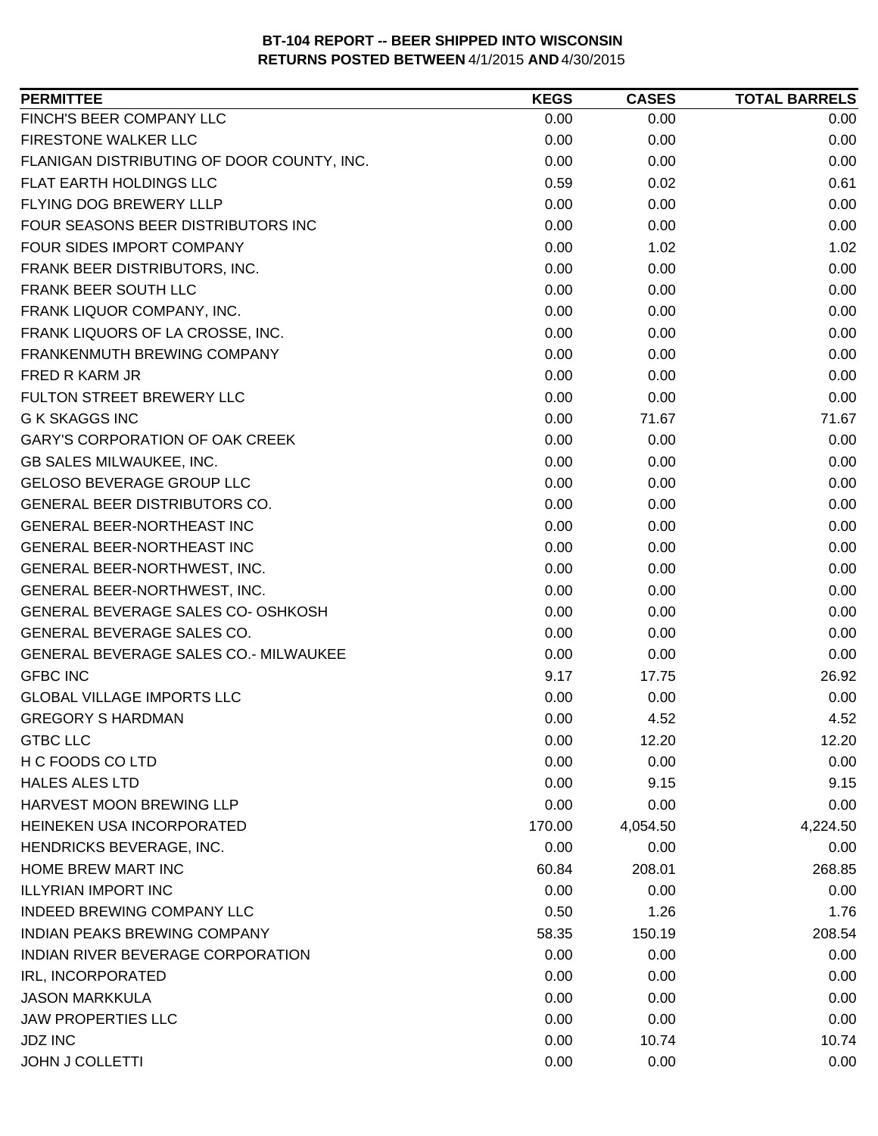| FINCH'S BEER COMPANY LLC<br>0.00<br>0.00<br>0.00<br><b>FIRESTONE WALKER LLC</b><br>0.00<br>0.00<br>0.00<br>FLANIGAN DISTRIBUTING OF DOOR COUNTY, INC.<br>0.00<br>0.00<br>0.00<br>FLAT EARTH HOLDINGS LLC<br>0.59<br>0.61<br>0.02<br>FLYING DOG BREWERY LLLP<br>0.00<br>0.00<br>0.00<br>FOUR SEASONS BEER DISTRIBUTORS INC<br>0.00<br>0.00<br>0.00<br>FOUR SIDES IMPORT COMPANY<br>0.00<br>1.02<br>1.02<br>FRANK BEER DISTRIBUTORS, INC.<br>0.00<br>0.00<br>0.00<br>FRANK BEER SOUTH LLC<br>0.00<br>0.00<br>0.00<br>FRANK LIQUOR COMPANY, INC.<br>0.00<br>0.00<br>0.00<br>FRANK LIQUORS OF LA CROSSE, INC.<br>0.00<br>0.00<br>0.00<br>0.00<br>0.00<br>FRANKENMUTH BREWING COMPANY<br>0.00<br>0.00<br>0.00<br>FRED R KARM JR<br>0.00<br>FULTON STREET BREWERY LLC<br>0.00<br>0.00<br>0.00<br><b>G K SKAGGS INC</b><br>0.00<br>71.67<br>71.67<br><b>GARY'S CORPORATION OF OAK CREEK</b><br>0.00<br>0.00<br>0.00<br>GB SALES MILWAUKEE, INC.<br>0.00<br>0.00<br>0.00<br><b>GELOSO BEVERAGE GROUP LLC</b><br>0.00<br>0.00<br>0.00<br>GENERAL BEER DISTRIBUTORS CO.<br>0.00<br>0.00<br>0.00<br><b>GENERAL BEER-NORTHEAST INC</b><br>0.00<br>0.00<br>0.00<br>0.00<br>0.00<br>0.00<br>GENERAL BEER-NORTHEAST INC<br>GENERAL BEER-NORTHWEST, INC.<br>0.00<br>0.00<br>0.00<br>GENERAL BEER-NORTHWEST, INC.<br>0.00<br>0.00<br>0.00<br>GENERAL BEVERAGE SALES CO- OSHKOSH<br>0.00<br>0.00<br>0.00<br>GENERAL BEVERAGE SALES CO.<br>0.00<br>0.00<br>0.00<br>GENERAL BEVERAGE SALES CO.- MILWAUKEE<br>0.00<br>0.00<br>0.00<br><b>GFBC INC</b><br>9.17<br>26.92<br>17.75<br><b>GLOBAL VILLAGE IMPORTS LLC</b><br>0.00<br>0.00<br>0.00<br>0.00<br><b>GREGORY S HARDMAN</b><br>4.52<br>4.52<br><b>GTBC LLC</b><br>0.00<br>12.20<br>12.20<br>H C FOODS CO LTD<br>0.00<br>0.00<br>0.00<br><b>HALES ALES LTD</b><br>0.00<br>9.15<br>9.15<br><b>HARVEST MOON BREWING LLP</b><br>0.00<br>0.00<br>0.00<br>HEINEKEN USA INCORPORATED<br>170.00<br>4,054.50<br>4,224.50<br>HENDRICKS BEVERAGE, INC.<br>0.00<br>0.00<br>0.00<br>HOME BREW MART INC<br>268.85<br>60.84<br>208.01<br><b>ILLYRIAN IMPORT INC</b><br>0.00<br>0.00<br>0.00<br>INDEED BREWING COMPANY LLC<br>0.50<br>1.26<br>1.76<br><b>INDIAN PEAKS BREWING COMPANY</b><br>58.35<br>150.19<br>208.54<br>INDIAN RIVER BEVERAGE CORPORATION<br>0.00<br>0.00<br>0.00<br>IRL, INCORPORATED<br>0.00<br>0.00<br>0.00<br><b>JASON MARKKULA</b><br>0.00<br>0.00<br>0.00<br><b>JAW PROPERTIES LLC</b><br>0.00<br>0.00<br>0.00<br><b>JDZ INC</b><br>0.00<br>10.74<br>10.74 | <b>PERMITTEE</b> | <b>KEGS</b> | <b>CASES</b> | <b>TOTAL BARRELS</b> |
|----------------------------------------------------------------------------------------------------------------------------------------------------------------------------------------------------------------------------------------------------------------------------------------------------------------------------------------------------------------------------------------------------------------------------------------------------------------------------------------------------------------------------------------------------------------------------------------------------------------------------------------------------------------------------------------------------------------------------------------------------------------------------------------------------------------------------------------------------------------------------------------------------------------------------------------------------------------------------------------------------------------------------------------------------------------------------------------------------------------------------------------------------------------------------------------------------------------------------------------------------------------------------------------------------------------------------------------------------------------------------------------------------------------------------------------------------------------------------------------------------------------------------------------------------------------------------------------------------------------------------------------------------------------------------------------------------------------------------------------------------------------------------------------------------------------------------------------------------------------------------------------------------------------------------------------------------------------------------------------------------------------------------------------------------------------------------------------------------------------------------------------------------------------------------------------------------------------------------------------------------------------------------------------------------------------------------------------------------------------------------------------------------------------------------------------------------------------------------------------------------|------------------|-------------|--------------|----------------------|
|                                                                                                                                                                                                                                                                                                                                                                                                                                                                                                                                                                                                                                                                                                                                                                                                                                                                                                                                                                                                                                                                                                                                                                                                                                                                                                                                                                                                                                                                                                                                                                                                                                                                                                                                                                                                                                                                                                                                                                                                                                                                                                                                                                                                                                                                                                                                                                                                                                                                                                    |                  |             |              |                      |
|                                                                                                                                                                                                                                                                                                                                                                                                                                                                                                                                                                                                                                                                                                                                                                                                                                                                                                                                                                                                                                                                                                                                                                                                                                                                                                                                                                                                                                                                                                                                                                                                                                                                                                                                                                                                                                                                                                                                                                                                                                                                                                                                                                                                                                                                                                                                                                                                                                                                                                    |                  |             |              |                      |
|                                                                                                                                                                                                                                                                                                                                                                                                                                                                                                                                                                                                                                                                                                                                                                                                                                                                                                                                                                                                                                                                                                                                                                                                                                                                                                                                                                                                                                                                                                                                                                                                                                                                                                                                                                                                                                                                                                                                                                                                                                                                                                                                                                                                                                                                                                                                                                                                                                                                                                    |                  |             |              |                      |
|                                                                                                                                                                                                                                                                                                                                                                                                                                                                                                                                                                                                                                                                                                                                                                                                                                                                                                                                                                                                                                                                                                                                                                                                                                                                                                                                                                                                                                                                                                                                                                                                                                                                                                                                                                                                                                                                                                                                                                                                                                                                                                                                                                                                                                                                                                                                                                                                                                                                                                    |                  |             |              |                      |
|                                                                                                                                                                                                                                                                                                                                                                                                                                                                                                                                                                                                                                                                                                                                                                                                                                                                                                                                                                                                                                                                                                                                                                                                                                                                                                                                                                                                                                                                                                                                                                                                                                                                                                                                                                                                                                                                                                                                                                                                                                                                                                                                                                                                                                                                                                                                                                                                                                                                                                    |                  |             |              |                      |
|                                                                                                                                                                                                                                                                                                                                                                                                                                                                                                                                                                                                                                                                                                                                                                                                                                                                                                                                                                                                                                                                                                                                                                                                                                                                                                                                                                                                                                                                                                                                                                                                                                                                                                                                                                                                                                                                                                                                                                                                                                                                                                                                                                                                                                                                                                                                                                                                                                                                                                    |                  |             |              |                      |
|                                                                                                                                                                                                                                                                                                                                                                                                                                                                                                                                                                                                                                                                                                                                                                                                                                                                                                                                                                                                                                                                                                                                                                                                                                                                                                                                                                                                                                                                                                                                                                                                                                                                                                                                                                                                                                                                                                                                                                                                                                                                                                                                                                                                                                                                                                                                                                                                                                                                                                    |                  |             |              |                      |
|                                                                                                                                                                                                                                                                                                                                                                                                                                                                                                                                                                                                                                                                                                                                                                                                                                                                                                                                                                                                                                                                                                                                                                                                                                                                                                                                                                                                                                                                                                                                                                                                                                                                                                                                                                                                                                                                                                                                                                                                                                                                                                                                                                                                                                                                                                                                                                                                                                                                                                    |                  |             |              |                      |
|                                                                                                                                                                                                                                                                                                                                                                                                                                                                                                                                                                                                                                                                                                                                                                                                                                                                                                                                                                                                                                                                                                                                                                                                                                                                                                                                                                                                                                                                                                                                                                                                                                                                                                                                                                                                                                                                                                                                                                                                                                                                                                                                                                                                                                                                                                                                                                                                                                                                                                    |                  |             |              |                      |
|                                                                                                                                                                                                                                                                                                                                                                                                                                                                                                                                                                                                                                                                                                                                                                                                                                                                                                                                                                                                                                                                                                                                                                                                                                                                                                                                                                                                                                                                                                                                                                                                                                                                                                                                                                                                                                                                                                                                                                                                                                                                                                                                                                                                                                                                                                                                                                                                                                                                                                    |                  |             |              |                      |
|                                                                                                                                                                                                                                                                                                                                                                                                                                                                                                                                                                                                                                                                                                                                                                                                                                                                                                                                                                                                                                                                                                                                                                                                                                                                                                                                                                                                                                                                                                                                                                                                                                                                                                                                                                                                                                                                                                                                                                                                                                                                                                                                                                                                                                                                                                                                                                                                                                                                                                    |                  |             |              |                      |
|                                                                                                                                                                                                                                                                                                                                                                                                                                                                                                                                                                                                                                                                                                                                                                                                                                                                                                                                                                                                                                                                                                                                                                                                                                                                                                                                                                                                                                                                                                                                                                                                                                                                                                                                                                                                                                                                                                                                                                                                                                                                                                                                                                                                                                                                                                                                                                                                                                                                                                    |                  |             |              |                      |
|                                                                                                                                                                                                                                                                                                                                                                                                                                                                                                                                                                                                                                                                                                                                                                                                                                                                                                                                                                                                                                                                                                                                                                                                                                                                                                                                                                                                                                                                                                                                                                                                                                                                                                                                                                                                                                                                                                                                                                                                                                                                                                                                                                                                                                                                                                                                                                                                                                                                                                    |                  |             |              |                      |
|                                                                                                                                                                                                                                                                                                                                                                                                                                                                                                                                                                                                                                                                                                                                                                                                                                                                                                                                                                                                                                                                                                                                                                                                                                                                                                                                                                                                                                                                                                                                                                                                                                                                                                                                                                                                                                                                                                                                                                                                                                                                                                                                                                                                                                                                                                                                                                                                                                                                                                    |                  |             |              |                      |
|                                                                                                                                                                                                                                                                                                                                                                                                                                                                                                                                                                                                                                                                                                                                                                                                                                                                                                                                                                                                                                                                                                                                                                                                                                                                                                                                                                                                                                                                                                                                                                                                                                                                                                                                                                                                                                                                                                                                                                                                                                                                                                                                                                                                                                                                                                                                                                                                                                                                                                    |                  |             |              |                      |
|                                                                                                                                                                                                                                                                                                                                                                                                                                                                                                                                                                                                                                                                                                                                                                                                                                                                                                                                                                                                                                                                                                                                                                                                                                                                                                                                                                                                                                                                                                                                                                                                                                                                                                                                                                                                                                                                                                                                                                                                                                                                                                                                                                                                                                                                                                                                                                                                                                                                                                    |                  |             |              |                      |
|                                                                                                                                                                                                                                                                                                                                                                                                                                                                                                                                                                                                                                                                                                                                                                                                                                                                                                                                                                                                                                                                                                                                                                                                                                                                                                                                                                                                                                                                                                                                                                                                                                                                                                                                                                                                                                                                                                                                                                                                                                                                                                                                                                                                                                                                                                                                                                                                                                                                                                    |                  |             |              |                      |
|                                                                                                                                                                                                                                                                                                                                                                                                                                                                                                                                                                                                                                                                                                                                                                                                                                                                                                                                                                                                                                                                                                                                                                                                                                                                                                                                                                                                                                                                                                                                                                                                                                                                                                                                                                                                                                                                                                                                                                                                                                                                                                                                                                                                                                                                                                                                                                                                                                                                                                    |                  |             |              |                      |
|                                                                                                                                                                                                                                                                                                                                                                                                                                                                                                                                                                                                                                                                                                                                                                                                                                                                                                                                                                                                                                                                                                                                                                                                                                                                                                                                                                                                                                                                                                                                                                                                                                                                                                                                                                                                                                                                                                                                                                                                                                                                                                                                                                                                                                                                                                                                                                                                                                                                                                    |                  |             |              |                      |
|                                                                                                                                                                                                                                                                                                                                                                                                                                                                                                                                                                                                                                                                                                                                                                                                                                                                                                                                                                                                                                                                                                                                                                                                                                                                                                                                                                                                                                                                                                                                                                                                                                                                                                                                                                                                                                                                                                                                                                                                                                                                                                                                                                                                                                                                                                                                                                                                                                                                                                    |                  |             |              |                      |
|                                                                                                                                                                                                                                                                                                                                                                                                                                                                                                                                                                                                                                                                                                                                                                                                                                                                                                                                                                                                                                                                                                                                                                                                                                                                                                                                                                                                                                                                                                                                                                                                                                                                                                                                                                                                                                                                                                                                                                                                                                                                                                                                                                                                                                                                                                                                                                                                                                                                                                    |                  |             |              |                      |
|                                                                                                                                                                                                                                                                                                                                                                                                                                                                                                                                                                                                                                                                                                                                                                                                                                                                                                                                                                                                                                                                                                                                                                                                                                                                                                                                                                                                                                                                                                                                                                                                                                                                                                                                                                                                                                                                                                                                                                                                                                                                                                                                                                                                                                                                                                                                                                                                                                                                                                    |                  |             |              |                      |
|                                                                                                                                                                                                                                                                                                                                                                                                                                                                                                                                                                                                                                                                                                                                                                                                                                                                                                                                                                                                                                                                                                                                                                                                                                                                                                                                                                                                                                                                                                                                                                                                                                                                                                                                                                                                                                                                                                                                                                                                                                                                                                                                                                                                                                                                                                                                                                                                                                                                                                    |                  |             |              |                      |
|                                                                                                                                                                                                                                                                                                                                                                                                                                                                                                                                                                                                                                                                                                                                                                                                                                                                                                                                                                                                                                                                                                                                                                                                                                                                                                                                                                                                                                                                                                                                                                                                                                                                                                                                                                                                                                                                                                                                                                                                                                                                                                                                                                                                                                                                                                                                                                                                                                                                                                    |                  |             |              |                      |
|                                                                                                                                                                                                                                                                                                                                                                                                                                                                                                                                                                                                                                                                                                                                                                                                                                                                                                                                                                                                                                                                                                                                                                                                                                                                                                                                                                                                                                                                                                                                                                                                                                                                                                                                                                                                                                                                                                                                                                                                                                                                                                                                                                                                                                                                                                                                                                                                                                                                                                    |                  |             |              |                      |
|                                                                                                                                                                                                                                                                                                                                                                                                                                                                                                                                                                                                                                                                                                                                                                                                                                                                                                                                                                                                                                                                                                                                                                                                                                                                                                                                                                                                                                                                                                                                                                                                                                                                                                                                                                                                                                                                                                                                                                                                                                                                                                                                                                                                                                                                                                                                                                                                                                                                                                    |                  |             |              |                      |
|                                                                                                                                                                                                                                                                                                                                                                                                                                                                                                                                                                                                                                                                                                                                                                                                                                                                                                                                                                                                                                                                                                                                                                                                                                                                                                                                                                                                                                                                                                                                                                                                                                                                                                                                                                                                                                                                                                                                                                                                                                                                                                                                                                                                                                                                                                                                                                                                                                                                                                    |                  |             |              |                      |
|                                                                                                                                                                                                                                                                                                                                                                                                                                                                                                                                                                                                                                                                                                                                                                                                                                                                                                                                                                                                                                                                                                                                                                                                                                                                                                                                                                                                                                                                                                                                                                                                                                                                                                                                                                                                                                                                                                                                                                                                                                                                                                                                                                                                                                                                                                                                                                                                                                                                                                    |                  |             |              |                      |
|                                                                                                                                                                                                                                                                                                                                                                                                                                                                                                                                                                                                                                                                                                                                                                                                                                                                                                                                                                                                                                                                                                                                                                                                                                                                                                                                                                                                                                                                                                                                                                                                                                                                                                                                                                                                                                                                                                                                                                                                                                                                                                                                                                                                                                                                                                                                                                                                                                                                                                    |                  |             |              |                      |
|                                                                                                                                                                                                                                                                                                                                                                                                                                                                                                                                                                                                                                                                                                                                                                                                                                                                                                                                                                                                                                                                                                                                                                                                                                                                                                                                                                                                                                                                                                                                                                                                                                                                                                                                                                                                                                                                                                                                                                                                                                                                                                                                                                                                                                                                                                                                                                                                                                                                                                    |                  |             |              |                      |
|                                                                                                                                                                                                                                                                                                                                                                                                                                                                                                                                                                                                                                                                                                                                                                                                                                                                                                                                                                                                                                                                                                                                                                                                                                                                                                                                                                                                                                                                                                                                                                                                                                                                                                                                                                                                                                                                                                                                                                                                                                                                                                                                                                                                                                                                                                                                                                                                                                                                                                    |                  |             |              |                      |
|                                                                                                                                                                                                                                                                                                                                                                                                                                                                                                                                                                                                                                                                                                                                                                                                                                                                                                                                                                                                                                                                                                                                                                                                                                                                                                                                                                                                                                                                                                                                                                                                                                                                                                                                                                                                                                                                                                                                                                                                                                                                                                                                                                                                                                                                                                                                                                                                                                                                                                    |                  |             |              |                      |
|                                                                                                                                                                                                                                                                                                                                                                                                                                                                                                                                                                                                                                                                                                                                                                                                                                                                                                                                                                                                                                                                                                                                                                                                                                                                                                                                                                                                                                                                                                                                                                                                                                                                                                                                                                                                                                                                                                                                                                                                                                                                                                                                                                                                                                                                                                                                                                                                                                                                                                    |                  |             |              |                      |
|                                                                                                                                                                                                                                                                                                                                                                                                                                                                                                                                                                                                                                                                                                                                                                                                                                                                                                                                                                                                                                                                                                                                                                                                                                                                                                                                                                                                                                                                                                                                                                                                                                                                                                                                                                                                                                                                                                                                                                                                                                                                                                                                                                                                                                                                                                                                                                                                                                                                                                    |                  |             |              |                      |
|                                                                                                                                                                                                                                                                                                                                                                                                                                                                                                                                                                                                                                                                                                                                                                                                                                                                                                                                                                                                                                                                                                                                                                                                                                                                                                                                                                                                                                                                                                                                                                                                                                                                                                                                                                                                                                                                                                                                                                                                                                                                                                                                                                                                                                                                                                                                                                                                                                                                                                    |                  |             |              |                      |
|                                                                                                                                                                                                                                                                                                                                                                                                                                                                                                                                                                                                                                                                                                                                                                                                                                                                                                                                                                                                                                                                                                                                                                                                                                                                                                                                                                                                                                                                                                                                                                                                                                                                                                                                                                                                                                                                                                                                                                                                                                                                                                                                                                                                                                                                                                                                                                                                                                                                                                    |                  |             |              |                      |
|                                                                                                                                                                                                                                                                                                                                                                                                                                                                                                                                                                                                                                                                                                                                                                                                                                                                                                                                                                                                                                                                                                                                                                                                                                                                                                                                                                                                                                                                                                                                                                                                                                                                                                                                                                                                                                                                                                                                                                                                                                                                                                                                                                                                                                                                                                                                                                                                                                                                                                    |                  |             |              |                      |
|                                                                                                                                                                                                                                                                                                                                                                                                                                                                                                                                                                                                                                                                                                                                                                                                                                                                                                                                                                                                                                                                                                                                                                                                                                                                                                                                                                                                                                                                                                                                                                                                                                                                                                                                                                                                                                                                                                                                                                                                                                                                                                                                                                                                                                                                                                                                                                                                                                                                                                    |                  |             |              |                      |
|                                                                                                                                                                                                                                                                                                                                                                                                                                                                                                                                                                                                                                                                                                                                                                                                                                                                                                                                                                                                                                                                                                                                                                                                                                                                                                                                                                                                                                                                                                                                                                                                                                                                                                                                                                                                                                                                                                                                                                                                                                                                                                                                                                                                                                                                                                                                                                                                                                                                                                    |                  |             |              |                      |
|                                                                                                                                                                                                                                                                                                                                                                                                                                                                                                                                                                                                                                                                                                                                                                                                                                                                                                                                                                                                                                                                                                                                                                                                                                                                                                                                                                                                                                                                                                                                                                                                                                                                                                                                                                                                                                                                                                                                                                                                                                                                                                                                                                                                                                                                                                                                                                                                                                                                                                    |                  |             |              |                      |
|                                                                                                                                                                                                                                                                                                                                                                                                                                                                                                                                                                                                                                                                                                                                                                                                                                                                                                                                                                                                                                                                                                                                                                                                                                                                                                                                                                                                                                                                                                                                                                                                                                                                                                                                                                                                                                                                                                                                                                                                                                                                                                                                                                                                                                                                                                                                                                                                                                                                                                    |                  |             |              |                      |
|                                                                                                                                                                                                                                                                                                                                                                                                                                                                                                                                                                                                                                                                                                                                                                                                                                                                                                                                                                                                                                                                                                                                                                                                                                                                                                                                                                                                                                                                                                                                                                                                                                                                                                                                                                                                                                                                                                                                                                                                                                                                                                                                                                                                                                                                                                                                                                                                                                                                                                    |                  |             |              |                      |
|                                                                                                                                                                                                                                                                                                                                                                                                                                                                                                                                                                                                                                                                                                                                                                                                                                                                                                                                                                                                                                                                                                                                                                                                                                                                                                                                                                                                                                                                                                                                                                                                                                                                                                                                                                                                                                                                                                                                                                                                                                                                                                                                                                                                                                                                                                                                                                                                                                                                                                    |                  |             |              |                      |
|                                                                                                                                                                                                                                                                                                                                                                                                                                                                                                                                                                                                                                                                                                                                                                                                                                                                                                                                                                                                                                                                                                                                                                                                                                                                                                                                                                                                                                                                                                                                                                                                                                                                                                                                                                                                                                                                                                                                                                                                                                                                                                                                                                                                                                                                                                                                                                                                                                                                                                    |                  |             |              |                      |
|                                                                                                                                                                                                                                                                                                                                                                                                                                                                                                                                                                                                                                                                                                                                                                                                                                                                                                                                                                                                                                                                                                                                                                                                                                                                                                                                                                                                                                                                                                                                                                                                                                                                                                                                                                                                                                                                                                                                                                                                                                                                                                                                                                                                                                                                                                                                                                                                                                                                                                    | JOHN J COLLETTI  | 0.00        | 0.00         | 0.00                 |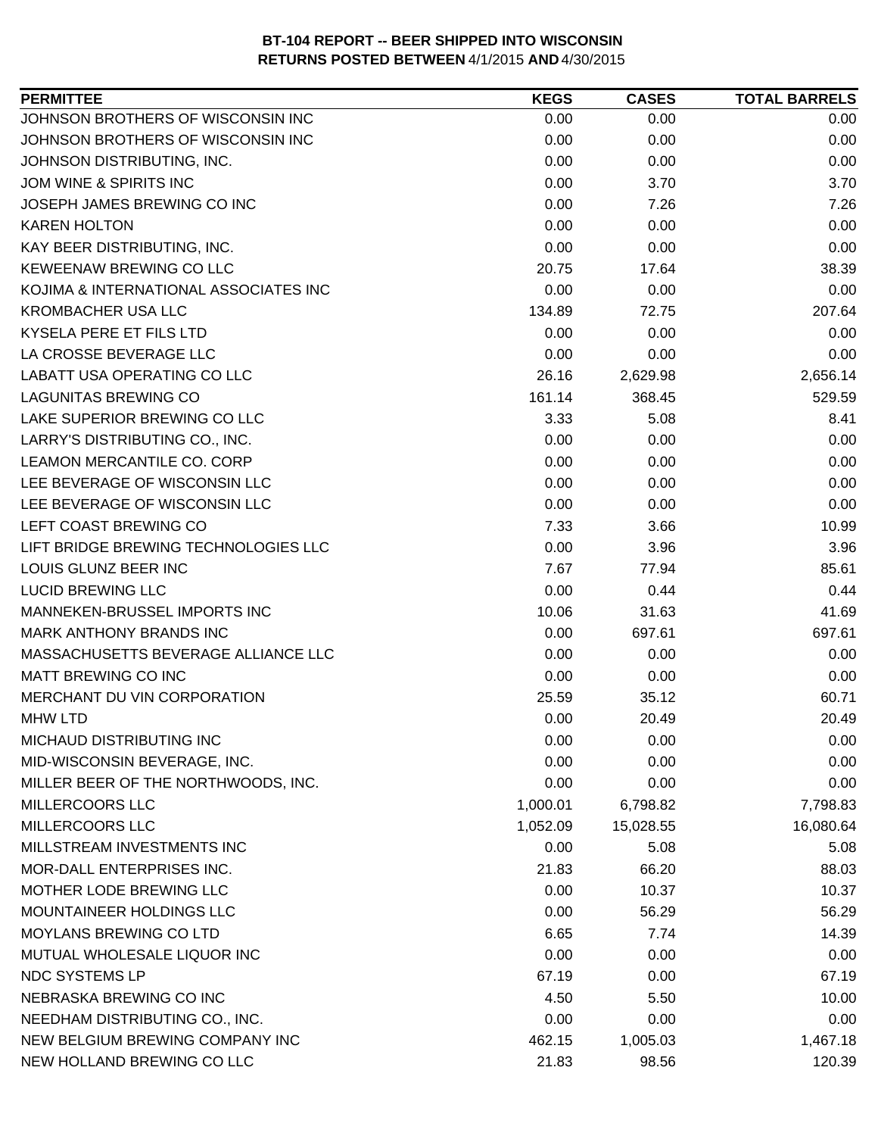| <b>PERMITTEE</b>                      | <b>KEGS</b> | <b>CASES</b> | <b>TOTAL BARRELS</b> |
|---------------------------------------|-------------|--------------|----------------------|
| JOHNSON BROTHERS OF WISCONSIN INC     | 0.00        | 0.00         | 0.00                 |
| JOHNSON BROTHERS OF WISCONSIN INC     | 0.00        | 0.00         | 0.00                 |
| JOHNSON DISTRIBUTING, INC.            | 0.00        | 0.00         | 0.00                 |
| JOM WINE & SPIRITS INC                | 0.00        | 3.70         | 3.70                 |
| JOSEPH JAMES BREWING CO INC           | 0.00        | 7.26         | 7.26                 |
| <b>KAREN HOLTON</b>                   | 0.00        | 0.00         | 0.00                 |
| KAY BEER DISTRIBUTING, INC.           | 0.00        | 0.00         | 0.00                 |
| <b>KEWEENAW BREWING CO LLC</b>        | 20.75       | 17.64        | 38.39                |
| KOJIMA & INTERNATIONAL ASSOCIATES INC | 0.00        | 0.00         | 0.00                 |
| <b>KROMBACHER USA LLC</b>             | 134.89      | 72.75        | 207.64               |
| KYSELA PERE ET FILS LTD               | 0.00        | 0.00         | 0.00                 |
| LA CROSSE BEVERAGE LLC                | 0.00        | 0.00         | 0.00                 |
| LABATT USA OPERATING CO LLC           | 26.16       | 2,629.98     | 2,656.14             |
| <b>LAGUNITAS BREWING CO</b>           | 161.14      | 368.45       | 529.59               |
| LAKE SUPERIOR BREWING CO LLC          | 3.33        | 5.08         | 8.41                 |
| LARRY'S DISTRIBUTING CO., INC.        | 0.00        | 0.00         | 0.00                 |
| LEAMON MERCANTILE CO. CORP            | 0.00        | 0.00         | 0.00                 |
| LEE BEVERAGE OF WISCONSIN LLC         | 0.00        | 0.00         | 0.00                 |
| LEE BEVERAGE OF WISCONSIN LLC         | 0.00        | 0.00         | 0.00                 |
| LEFT COAST BREWING CO                 | 7.33        | 3.66         | 10.99                |
| LIFT BRIDGE BREWING TECHNOLOGIES LLC  | 0.00        | 3.96         | 3.96                 |
| LOUIS GLUNZ BEER INC                  | 7.67        | 77.94        | 85.61                |
| <b>LUCID BREWING LLC</b>              | 0.00        | 0.44         | 0.44                 |
| MANNEKEN-BRUSSEL IMPORTS INC          | 10.06       | 31.63        | 41.69                |
| <b>MARK ANTHONY BRANDS INC</b>        | 0.00        | 697.61       | 697.61               |
| MASSACHUSETTS BEVERAGE ALLIANCE LLC   | 0.00        | 0.00         | 0.00                 |
| MATT BREWING CO INC                   | 0.00        | 0.00         | 0.00                 |
| MERCHANT DU VIN CORPORATION           | 25.59       | 35.12        | 60.71                |
| <b>MHW LTD</b>                        | 0.00        | 20.49        | 20.49                |
| MICHAUD DISTRIBUTING INC              | 0.00        | 0.00         | 0.00                 |
| MID-WISCONSIN BEVERAGE, INC.          | 0.00        | 0.00         | 0.00                 |
| MILLER BEER OF THE NORTHWOODS, INC.   | 0.00        | 0.00         | 0.00                 |
| MILLERCOORS LLC                       | 1,000.01    | 6,798.82     | 7,798.83             |
| <b>MILLERCOORS LLC</b>                | 1,052.09    | 15,028.55    | 16,080.64            |
| MILLSTREAM INVESTMENTS INC            | 0.00        | 5.08         | 5.08                 |
| MOR-DALL ENTERPRISES INC.             | 21.83       | 66.20        | 88.03                |
| MOTHER LODE BREWING LLC               | 0.00        | 10.37        | 10.37                |
| <b>MOUNTAINEER HOLDINGS LLC</b>       | 0.00        | 56.29        | 56.29                |
| MOYLANS BREWING CO LTD                | 6.65        | 7.74         | 14.39                |
| MUTUAL WHOLESALE LIQUOR INC           | 0.00        | 0.00         | 0.00                 |
| NDC SYSTEMS LP                        | 67.19       | 0.00         | 67.19                |
| NEBRASKA BREWING CO INC               | 4.50        | 5.50         | 10.00                |
| NEEDHAM DISTRIBUTING CO., INC.        | 0.00        | 0.00         | 0.00                 |
| NEW BELGIUM BREWING COMPANY INC       | 462.15      | 1,005.03     | 1,467.18             |
| NEW HOLLAND BREWING CO LLC            | 21.83       | 98.56        | 120.39               |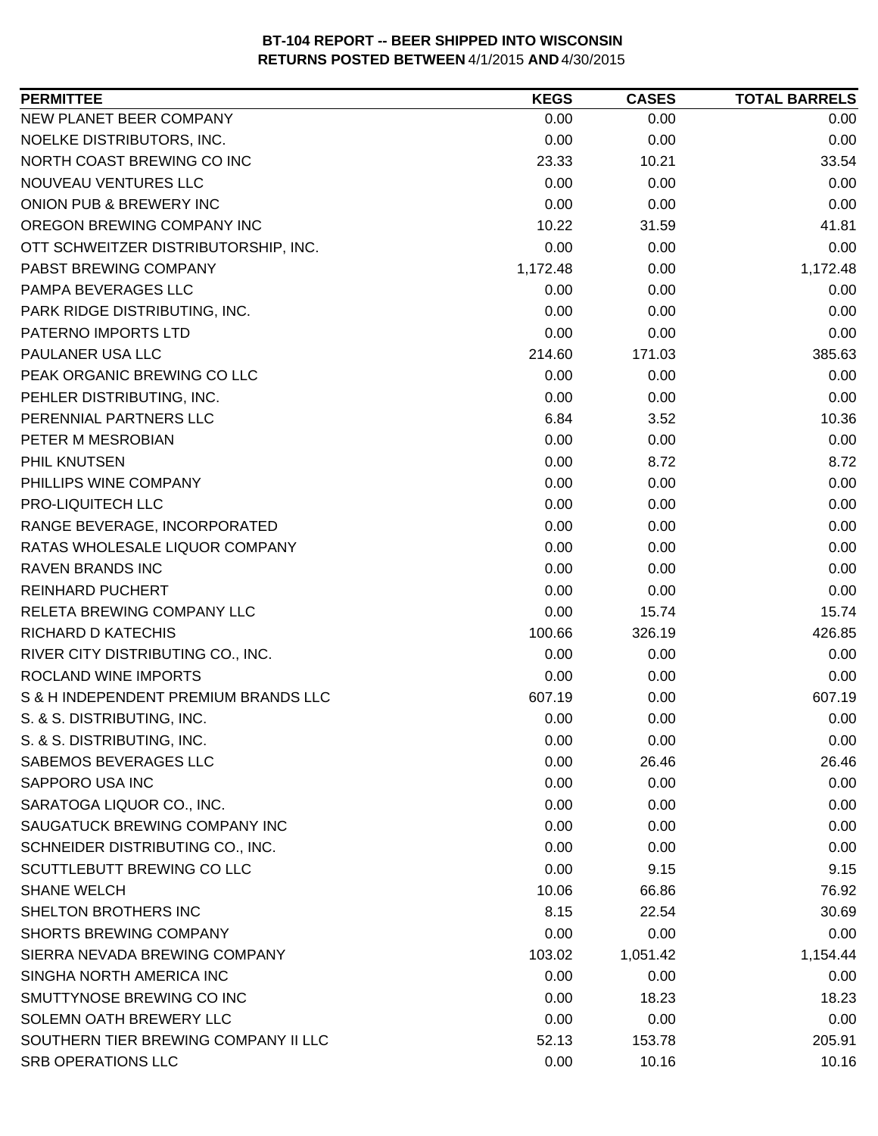| 0.00<br>0.00<br>0.00<br>0.00<br>0.00<br>0.00<br>23.33<br>10.21<br>33.54<br>0.00<br>0.00<br>0.00<br>0.00<br>0.00<br>0.00<br>10.22<br>31.59<br>41.81<br>0.00<br>0.00<br>0.00<br>1,172.48<br>1,172.48<br>0.00<br>0.00<br>0.00<br>0.00<br>0.00<br>0.00<br>0.00<br>0.00<br>0.00<br>0.00<br>214.60<br>385.63<br>171.03<br>0.00<br>0.00<br>0.00<br>0.00<br>0.00<br>0.00<br>6.84<br>3.52<br>10.36<br>0.00<br>0.00<br>0.00<br>0.00<br>8.72<br>8.72<br>0.00<br>0.00<br>0.00<br>0.00<br>0.00<br>0.00<br>0.00<br>0.00<br>0.00<br>0.00<br>0.00<br>0.00<br>0.00<br>0.00<br>0.00<br>0.00<br>0.00<br>0.00<br>0.00<br>15.74<br>15.74<br>100.66<br>326.19<br>426.85<br>0.00<br>0.00<br>0.00<br>0.00<br>0.00<br>0.00<br>607.19<br>607.19<br>0.00<br>0.00<br>0.00<br>0.00<br>0.00<br>0.00<br>0.00<br>0.00<br>26.46<br>26.46<br>0.00<br>0.00<br>0.00<br>0.00<br>0.00<br>0.00<br>0.00<br>0.00<br>0.00<br>0.00<br>0.00<br>0.00<br>0.00<br>9.15<br>9.15<br>10.06<br>66.86<br>76.92<br>8.15<br>22.54<br>30.69<br>0.00<br>0.00<br>0.00<br>103.02<br>1,154.44<br>1,051.42<br>0.00<br>0.00<br>0.00<br>0.00<br>18.23<br>18.23<br>0.00<br>0.00<br>0.00<br>52.13<br>153.78<br>205.91 | <b>PERMITTEE</b>                     | <b>KEGS</b> | <b>CASES</b> | <b>TOTAL BARRELS</b> |
|-------------------------------------------------------------------------------------------------------------------------------------------------------------------------------------------------------------------------------------------------------------------------------------------------------------------------------------------------------------------------------------------------------------------------------------------------------------------------------------------------------------------------------------------------------------------------------------------------------------------------------------------------------------------------------------------------------------------------------------------------------------------------------------------------------------------------------------------------------------------------------------------------------------------------------------------------------------------------------------------------------------------------------------------------------------------------------------------------------------------------------------------------------|--------------------------------------|-------------|--------------|----------------------|
|                                                                                                                                                                                                                                                                                                                                                                                                                                                                                                                                                                                                                                                                                                                                                                                                                                                                                                                                                                                                                                                                                                                                                       | NEW PLANET BEER COMPANY              |             |              |                      |
|                                                                                                                                                                                                                                                                                                                                                                                                                                                                                                                                                                                                                                                                                                                                                                                                                                                                                                                                                                                                                                                                                                                                                       | NOELKE DISTRIBUTORS, INC.            |             |              |                      |
|                                                                                                                                                                                                                                                                                                                                                                                                                                                                                                                                                                                                                                                                                                                                                                                                                                                                                                                                                                                                                                                                                                                                                       | NORTH COAST BREWING CO INC           |             |              |                      |
|                                                                                                                                                                                                                                                                                                                                                                                                                                                                                                                                                                                                                                                                                                                                                                                                                                                                                                                                                                                                                                                                                                                                                       | NOUVEAU VENTURES LLC                 |             |              |                      |
|                                                                                                                                                                                                                                                                                                                                                                                                                                                                                                                                                                                                                                                                                                                                                                                                                                                                                                                                                                                                                                                                                                                                                       | ONION PUB & BREWERY INC              |             |              |                      |
|                                                                                                                                                                                                                                                                                                                                                                                                                                                                                                                                                                                                                                                                                                                                                                                                                                                                                                                                                                                                                                                                                                                                                       | OREGON BREWING COMPANY INC           |             |              |                      |
|                                                                                                                                                                                                                                                                                                                                                                                                                                                                                                                                                                                                                                                                                                                                                                                                                                                                                                                                                                                                                                                                                                                                                       | OTT SCHWEITZER DISTRIBUTORSHIP, INC. |             |              |                      |
|                                                                                                                                                                                                                                                                                                                                                                                                                                                                                                                                                                                                                                                                                                                                                                                                                                                                                                                                                                                                                                                                                                                                                       | PABST BREWING COMPANY                |             |              |                      |
|                                                                                                                                                                                                                                                                                                                                                                                                                                                                                                                                                                                                                                                                                                                                                                                                                                                                                                                                                                                                                                                                                                                                                       | PAMPA BEVERAGES LLC                  |             |              |                      |
|                                                                                                                                                                                                                                                                                                                                                                                                                                                                                                                                                                                                                                                                                                                                                                                                                                                                                                                                                                                                                                                                                                                                                       | PARK RIDGE DISTRIBUTING, INC.        |             |              |                      |
|                                                                                                                                                                                                                                                                                                                                                                                                                                                                                                                                                                                                                                                                                                                                                                                                                                                                                                                                                                                                                                                                                                                                                       | PATERNO IMPORTS LTD                  |             |              |                      |
|                                                                                                                                                                                                                                                                                                                                                                                                                                                                                                                                                                                                                                                                                                                                                                                                                                                                                                                                                                                                                                                                                                                                                       | PAULANER USA LLC                     |             |              |                      |
|                                                                                                                                                                                                                                                                                                                                                                                                                                                                                                                                                                                                                                                                                                                                                                                                                                                                                                                                                                                                                                                                                                                                                       | PEAK ORGANIC BREWING CO LLC          |             |              |                      |
|                                                                                                                                                                                                                                                                                                                                                                                                                                                                                                                                                                                                                                                                                                                                                                                                                                                                                                                                                                                                                                                                                                                                                       | PEHLER DISTRIBUTING, INC.            |             |              |                      |
|                                                                                                                                                                                                                                                                                                                                                                                                                                                                                                                                                                                                                                                                                                                                                                                                                                                                                                                                                                                                                                                                                                                                                       | PERENNIAL PARTNERS LLC               |             |              |                      |
|                                                                                                                                                                                                                                                                                                                                                                                                                                                                                                                                                                                                                                                                                                                                                                                                                                                                                                                                                                                                                                                                                                                                                       | PETER M MESROBIAN                    |             |              |                      |
|                                                                                                                                                                                                                                                                                                                                                                                                                                                                                                                                                                                                                                                                                                                                                                                                                                                                                                                                                                                                                                                                                                                                                       | PHIL KNUTSEN                         |             |              |                      |
|                                                                                                                                                                                                                                                                                                                                                                                                                                                                                                                                                                                                                                                                                                                                                                                                                                                                                                                                                                                                                                                                                                                                                       | PHILLIPS WINE COMPANY                |             |              |                      |
|                                                                                                                                                                                                                                                                                                                                                                                                                                                                                                                                                                                                                                                                                                                                                                                                                                                                                                                                                                                                                                                                                                                                                       | PRO-LIQUITECH LLC                    |             |              |                      |
|                                                                                                                                                                                                                                                                                                                                                                                                                                                                                                                                                                                                                                                                                                                                                                                                                                                                                                                                                                                                                                                                                                                                                       | RANGE BEVERAGE, INCORPORATED         |             |              |                      |
|                                                                                                                                                                                                                                                                                                                                                                                                                                                                                                                                                                                                                                                                                                                                                                                                                                                                                                                                                                                                                                                                                                                                                       | RATAS WHOLESALE LIQUOR COMPANY       |             |              |                      |
|                                                                                                                                                                                                                                                                                                                                                                                                                                                                                                                                                                                                                                                                                                                                                                                                                                                                                                                                                                                                                                                                                                                                                       | <b>RAVEN BRANDS INC</b>              |             |              |                      |
|                                                                                                                                                                                                                                                                                                                                                                                                                                                                                                                                                                                                                                                                                                                                                                                                                                                                                                                                                                                                                                                                                                                                                       | <b>REINHARD PUCHERT</b>              |             |              |                      |
|                                                                                                                                                                                                                                                                                                                                                                                                                                                                                                                                                                                                                                                                                                                                                                                                                                                                                                                                                                                                                                                                                                                                                       | RELETA BREWING COMPANY LLC           |             |              |                      |
|                                                                                                                                                                                                                                                                                                                                                                                                                                                                                                                                                                                                                                                                                                                                                                                                                                                                                                                                                                                                                                                                                                                                                       | <b>RICHARD D KATECHIS</b>            |             |              |                      |
|                                                                                                                                                                                                                                                                                                                                                                                                                                                                                                                                                                                                                                                                                                                                                                                                                                                                                                                                                                                                                                                                                                                                                       | RIVER CITY DISTRIBUTING CO., INC.    |             |              |                      |
|                                                                                                                                                                                                                                                                                                                                                                                                                                                                                                                                                                                                                                                                                                                                                                                                                                                                                                                                                                                                                                                                                                                                                       | <b>ROCLAND WINE IMPORTS</b>          |             |              |                      |
|                                                                                                                                                                                                                                                                                                                                                                                                                                                                                                                                                                                                                                                                                                                                                                                                                                                                                                                                                                                                                                                                                                                                                       | S & H INDEPENDENT PREMIUM BRANDS LLC |             |              |                      |
|                                                                                                                                                                                                                                                                                                                                                                                                                                                                                                                                                                                                                                                                                                                                                                                                                                                                                                                                                                                                                                                                                                                                                       | S. & S. DISTRIBUTING, INC.           |             |              |                      |
|                                                                                                                                                                                                                                                                                                                                                                                                                                                                                                                                                                                                                                                                                                                                                                                                                                                                                                                                                                                                                                                                                                                                                       | S. & S. DISTRIBUTING, INC.           |             |              |                      |
|                                                                                                                                                                                                                                                                                                                                                                                                                                                                                                                                                                                                                                                                                                                                                                                                                                                                                                                                                                                                                                                                                                                                                       | SABEMOS BEVERAGES LLC                |             |              |                      |
|                                                                                                                                                                                                                                                                                                                                                                                                                                                                                                                                                                                                                                                                                                                                                                                                                                                                                                                                                                                                                                                                                                                                                       | SAPPORO USA INC                      |             |              |                      |
|                                                                                                                                                                                                                                                                                                                                                                                                                                                                                                                                                                                                                                                                                                                                                                                                                                                                                                                                                                                                                                                                                                                                                       | SARATOGA LIQUOR CO., INC.            |             |              |                      |
|                                                                                                                                                                                                                                                                                                                                                                                                                                                                                                                                                                                                                                                                                                                                                                                                                                                                                                                                                                                                                                                                                                                                                       | SAUGATUCK BREWING COMPANY INC        |             |              |                      |
|                                                                                                                                                                                                                                                                                                                                                                                                                                                                                                                                                                                                                                                                                                                                                                                                                                                                                                                                                                                                                                                                                                                                                       | SCHNEIDER DISTRIBUTING CO., INC.     |             |              |                      |
|                                                                                                                                                                                                                                                                                                                                                                                                                                                                                                                                                                                                                                                                                                                                                                                                                                                                                                                                                                                                                                                                                                                                                       | <b>SCUTTLEBUTT BREWING CO LLC</b>    |             |              |                      |
|                                                                                                                                                                                                                                                                                                                                                                                                                                                                                                                                                                                                                                                                                                                                                                                                                                                                                                                                                                                                                                                                                                                                                       | <b>SHANE WELCH</b>                   |             |              |                      |
|                                                                                                                                                                                                                                                                                                                                                                                                                                                                                                                                                                                                                                                                                                                                                                                                                                                                                                                                                                                                                                                                                                                                                       | SHELTON BROTHERS INC                 |             |              |                      |
|                                                                                                                                                                                                                                                                                                                                                                                                                                                                                                                                                                                                                                                                                                                                                                                                                                                                                                                                                                                                                                                                                                                                                       | <b>SHORTS BREWING COMPANY</b>        |             |              |                      |
|                                                                                                                                                                                                                                                                                                                                                                                                                                                                                                                                                                                                                                                                                                                                                                                                                                                                                                                                                                                                                                                                                                                                                       | SIERRA NEVADA BREWING COMPANY        |             |              |                      |
|                                                                                                                                                                                                                                                                                                                                                                                                                                                                                                                                                                                                                                                                                                                                                                                                                                                                                                                                                                                                                                                                                                                                                       | SINGHA NORTH AMERICA INC             |             |              |                      |
|                                                                                                                                                                                                                                                                                                                                                                                                                                                                                                                                                                                                                                                                                                                                                                                                                                                                                                                                                                                                                                                                                                                                                       | SMUTTYNOSE BREWING CO INC            |             |              |                      |
|                                                                                                                                                                                                                                                                                                                                                                                                                                                                                                                                                                                                                                                                                                                                                                                                                                                                                                                                                                                                                                                                                                                                                       | SOLEMN OATH BREWERY LLC              |             |              |                      |
|                                                                                                                                                                                                                                                                                                                                                                                                                                                                                                                                                                                                                                                                                                                                                                                                                                                                                                                                                                                                                                                                                                                                                       | SOUTHERN TIER BREWING COMPANY II LLC |             |              |                      |
|                                                                                                                                                                                                                                                                                                                                                                                                                                                                                                                                                                                                                                                                                                                                                                                                                                                                                                                                                                                                                                                                                                                                                       | SRB OPERATIONS LLC                   | 0.00        | 10.16        | 10.16                |